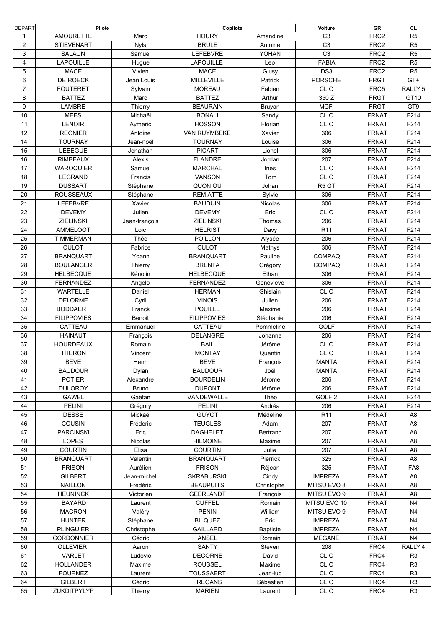| <b>DEPART</b>  | Pilote             |               | Copilote                          |                 | Voiture           | GR               | CL                               |
|----------------|--------------------|---------------|-----------------------------------|-----------------|-------------------|------------------|----------------------------------|
| 1              | <b>AMOURETTE</b>   | Marc          | <b>HOURY</b>                      | Amandine        | C <sub>3</sub>    | FRC <sub>2</sub> | R <sub>5</sub>                   |
| $\overline{c}$ | <b>STIEVENART</b>  | <b>Nyls</b>   | <b>BRULE</b>                      | Antoine         | C <sub>3</sub>    | FRC <sub>2</sub> | R <sub>5</sub>                   |
| 3              | <b>SALAUN</b>      | Samuel        | LEFEBVRE                          | YOHAN           | C <sub>3</sub>    | FRC <sub>2</sub> | R <sub>5</sub>                   |
| 4              | <b>LAPOUILLE</b>   | Hugue         | <b>LAPOUILLE</b>                  | Leo             | <b>FABIA</b>      | FRC <sub>2</sub> | R <sub>5</sub>                   |
| 5              | <b>MACE</b>        | Vivien        | <b>MACE</b>                       | Giusy           | DS <sub>3</sub>   | FRC <sub>2</sub> | R5                               |
| 6              | DE ROECK           | Jean Louis    | <b>MILLEVILLE</b>                 | Patrick         | <b>PORSCHE</b>    | <b>FRGT</b>      | GT+                              |
| 7              | <b>FOUTERET</b>    | Sylvain       | <b>MOREAU</b>                     | Fabien          | <b>CLIO</b>       | FRC5             | RALLY <sub>5</sub>               |
| 8              | <b>BATTEZ</b>      | Marc          | <b>BATTEZ</b>                     | Arthur          | 350 Z             | <b>FRGT</b>      | GT10                             |
| 9              | LAMBRE             | Thierry       | <b>BEAURAIN</b>                   | Bruyan          | <b>MGF</b>        | <b>FRGT</b>      | GT9                              |
| 10             | <b>MEES</b>        | Michaël       | <b>BONALI</b>                     | Sandy           | <b>CLIO</b>       | <b>FRNAT</b>     | F214                             |
|                |                    |               | <b>HOSSON</b>                     |                 |                   |                  |                                  |
| 11             | <b>LENOIR</b>      | Aymeric       |                                   | Florian         | <b>CLIO</b>       | <b>FRNAT</b>     | F214                             |
| 12             | <b>REGNIER</b>     | Antoine       | VAN RUYMBEKE                      | Xavier          | 306               | <b>FRNAT</b>     | F214                             |
| 14             | <b>TOURNAY</b>     | Jean-noël     | <b>TOURNAY</b>                    | Louise          | 306               | <b>FRNAT</b>     | F214                             |
| 15             | <b>LEBEGUE</b>     | Jonathan      | <b>PICART</b>                     | Lionel          | 306               | <b>FRNAT</b>     | F214                             |
| 16             | <b>RIMBEAUX</b>    | Alexis        | <b>FLANDRE</b>                    | Jordan          | 207               | <b>FRNAT</b>     | F214                             |
| 17             | <b>WAROQUIER</b>   | Samuel        | <b>MARCHAL</b>                    | Ines            | <b>CLIO</b>       | <b>FRNAT</b>     | F214                             |
| 18             | LEGRAND            | Francis       | VANSON                            | Tom             | <b>CLIO</b>       | <b>FRNAT</b>     | F214                             |
| 19             | <b>DUSSART</b>     | Stéphane      | QUONIOU                           | Johan           | R <sub>5</sub> GT | <b>FRNAT</b>     | F214                             |
| 20             | <b>ROUSSEAUX</b>   | Stéphane      | <b>REMIATTE</b>                   | Sylvie          | 306               | <b>FRNAT</b>     | F214                             |
| 21             | <b>LEFEBVRE</b>    | Xavier        | <b>BAUDUIN</b>                    | <b>Nicolas</b>  | 306               | <b>FRNAT</b>     | F214                             |
| 22             | <b>DEVEMY</b>      | Julien        | <b>DEVEMY</b>                     | Eric            | <b>CLIO</b>       | <b>FRNAT</b>     | F214                             |
| 23             | <b>ZIELINSKI</b>   | Jean-françois | <b>ZIELINSKI</b>                  | Thomas          | 206               | <b>FRNAT</b>     | F214                             |
| 24             | <b>AMMELOOT</b>    | Loic          | <b>HELRIST</b>                    | Davy            | R <sub>11</sub>   | <b>FRNAT</b>     | F214                             |
| 25             | <b>TIMMERMAN</b>   | Théo          | <b>POILLON</b>                    | Alysée          | 206               | <b>FRNAT</b>     | F214                             |
| 26             | <b>CULOT</b>       | Fabrice       | <b>CULOT</b>                      | Mathys          | 306               | <b>FRNAT</b>     | F214                             |
| 27             | <b>BRANQUART</b>   | Yoann         | <b>BRANQUART</b>                  | Pauline         | COMPAQ            | <b>FRNAT</b>     | F214                             |
| 28             | <b>BOULANGER</b>   | Thierry       | <b>BRENTA</b>                     | Grégory         | <b>COMPAQ</b>     | <b>FRNAT</b>     | F214                             |
| 29             | <b>HELBECQUE</b>   | Kénolin       | <b>HELBECQUE</b>                  | Ethan           | 306               | <b>FRNAT</b>     | F214                             |
| 30             | <b>FERNANDEZ</b>   | Angelo        | <b>FERNANDEZ</b>                  | Geneviève       | 306               | <b>FRNAT</b>     | F214                             |
| 31             | WARTELLE           | Daniel        | <b>HERMAN</b>                     | Ghislain        | <b>CLIO</b>       | <b>FRNAT</b>     | F214                             |
| 32             | <b>DELORME</b>     | Cyril         | <b>VINOIS</b>                     | Julien          | 206               | <b>FRNAT</b>     | F214                             |
| 33             | <b>BODDAERT</b>    | Franck        | <b>POUILLE</b>                    | Maxime          | 206               | <b>FRNAT</b>     | F214                             |
| 34             | <b>FILIPPOVIES</b> | Benoit        | <b>FILIPPOVIES</b>                | Stéphanie       | 206               | <b>FRNAT</b>     | F214                             |
| 35             | CATTEAU            | Emmanuel      | CATTEAU                           | Pommeline       | <b>GOLF</b>       | <b>FRNAT</b>     | F214                             |
| 36             | <b>HAINAUT</b>     | François      | DELANGRE                          | Johanna         | 206               | <b>FRNAT</b>     | F214                             |
| 37             | <b>HOURDEAUX</b>   | Romain        | <b>BAIL</b>                       | Jérôme          | <b>CLIO</b>       | <b>FRNAT</b>     | F214                             |
| 38             | <b>THERON</b>      | Vincent       | <b>MONTAY</b>                     | Quentin         | <b>CLIO</b>       | <b>FRNAT</b>     | F214                             |
| 39             | <b>BEVE</b>        | Henri         | <b>BEVE</b>                       | François        | <b>MANTA</b>      | <b>FRNAT</b>     | F214                             |
| 40             | <b>BAUDOUR</b>     | Dylan         | <b>BAUDOUR</b>                    | Joël            | <b>MANTA</b>      | <b>FRNAT</b>     | F214                             |
| 41             | <b>POTIER</b>      | Alexandre     | <b>BOURDELIN</b>                  | Jérome          | 206               | <b>FRNAT</b>     | F214                             |
| 42             | <b>DULOROY</b>     | <b>Bruno</b>  | <b>DUPONT</b>                     | Jérôme          | 206               | <b>FRNAT</b>     | F214                             |
| 43             | <b>GAWEL</b>       | Gaëtan        | VANDEWALLE                        | Théo            | GOLF <sub>2</sub> | <b>FRNAT</b>     | F214                             |
| 44             | <b>PELINI</b>      | Grégory       | <b>PELINI</b>                     | Andréa          | 206               | <b>FRNAT</b>     | F214                             |
| 45             | <b>DESSE</b>       | Mickaël       | <b>GUYOT</b>                      | Médeline        | R <sub>11</sub>   | <b>FRNAT</b>     | A <sub>8</sub>                   |
| 46             | COUSIN             | Fréderic      | <b>TEUGLES</b>                    | Adam            | 207               | <b>FRNAT</b>     | A <sub>8</sub>                   |
| 47             | <b>PARCINSKI</b>   | Eric          |                                   |                 | 207               |                  |                                  |
| 48             | LOPES              | Nicolas       | <b>DAGHELET</b>                   | Bertrand        |                   | <b>FRNAT</b>     | A <sub>8</sub>                   |
| 49             | <b>COURTIN</b>     |               | <b>HILMOINE</b><br><b>COURTIN</b> | Maxime<br>Julie | 207<br>207        | <b>FRNAT</b>     | A <sub>8</sub><br>A <sub>8</sub> |
|                | <b>BRANQUART</b>   | Elisa         | <b>BRANQUART</b>                  | Pierrick        | 325               | <b>FRNAT</b>     |                                  |
| 50             |                    | Valentin      |                                   |                 | 325               | <b>FRNAT</b>     | A <sub>8</sub>                   |
| 51             | <b>FRISON</b>      | Aurélien      | <b>FRISON</b>                     | Réjean          |                   | <b>FRNAT</b>     | FA <sub>8</sub>                  |
| 52             | <b>GILBERT</b>     | Jean-michel   | <b>SKRABURSKI</b>                 | Cindy           | <b>IMPREZA</b>    | <b>FRNAT</b>     | A <sub>8</sub>                   |
| 53             | <b>NAILLON</b>     | Frédéric      | <b>BEAUPUITS</b>                  | Christophe      | MITSU EVO 8       | <b>FRNAT</b>     | A <sub>8</sub>                   |
| 54             | <b>HEUNINCK</b>    | Victorien     | <b>GEERLANDT</b>                  | François        | MITSU EVO 9       | <b>FRNAT</b>     | A <sub>8</sub>                   |
| 55             | <b>BAYARD</b>      | Laurent       | <b>CUFFEL</b>                     | Romain          | MITSU EVO 10      | <b>FRNAT</b>     | N <sub>4</sub>                   |
| 56             | <b>MACRON</b>      | Valéry        | <b>PENIN</b>                      | William         | MITSU EVO 9       | <b>FRNAT</b>     | N <sub>4</sub>                   |
| 57             | <b>HUNTER</b>      | Stéphane      | <b>BILQUEZ</b>                    | Eric            | <b>IMPREZA</b>    | <b>FRNAT</b>     | N <sub>4</sub>                   |
| 58             | <b>PLINGUIER</b>   | Christophe    | <b>GAILLARD</b>                   | <b>Baptiste</b> | <b>IMPREZA</b>    | <b>FRNAT</b>     | N <sub>4</sub>                   |
| 59             | CORDONNIER         | Cédric        | <b>ANSEL</b>                      | Romain          | <b>MEGANE</b>     | <b>FRNAT</b>     | N <sub>4</sub>                   |
| 60             | <b>OLLEVIER</b>    | Aaron         | SANTY                             | Steven          | 208               | FRC4             | RALLY 4                          |
| 61             | VARLET             | Ludovic       | <b>DECORNE</b>                    | David           | <b>CLIO</b>       | FRC4             | R <sub>3</sub>                   |
| 62             | <b>HOLLANDER</b>   | Maxime        | <b>ROUSSEL</b>                    | Maxime          | <b>CLIO</b>       | FRC4             | R <sub>3</sub>                   |
| 63             | <b>FOURNEZ</b>     | Laurent       | <b>TOUSSAERT</b>                  | Jean-luc        | <b>CLIO</b>       | FRC4             | R <sub>3</sub>                   |
| 64             | <b>GILBERT</b>     | Cédric        | <b>FREGANS</b>                    | Sébastien       | <b>CLIO</b>       | FRC4             | R <sub>3</sub>                   |
| 65             | ZUKDITPYLYP        | Thierry       | <b>MARIEN</b>                     | Laurent         | <b>CLIO</b>       | FRC4             | R <sub>3</sub>                   |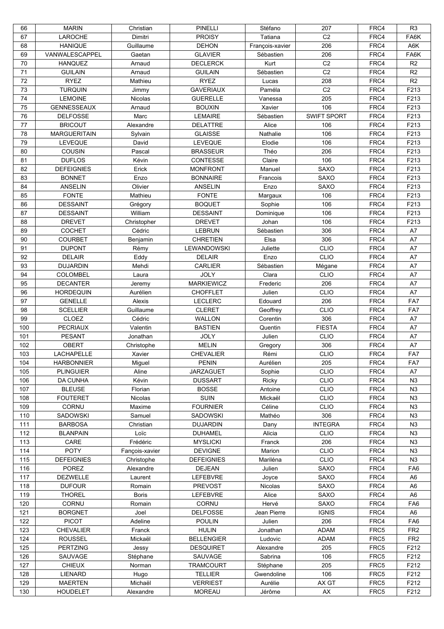| 66  | <b>MARIN</b>        | Christian      | <b>PINELLI</b>    | Stéfano         | 207                | FRC4 | R <sub>3</sub>  |
|-----|---------------------|----------------|-------------------|-----------------|--------------------|------|-----------------|
| 67  | LAROCHE             | Dimitri        | <b>PROISY</b>     | Tatiana         | C <sub>2</sub>     | FRC4 | FA6K            |
| 68  | <b>HANIQUE</b>      | Guillaume      | <b>DEHON</b>      | François-xavier | 206                | FRC4 | A6K             |
| 69  | VANWALESCAPPEL      | Gaetan         | <b>GLAVIER</b>    | Sébastien       | 206                | FRC4 | FA6K            |
| 70  | <b>HANQUEZ</b>      | Arnaud         | <b>DECLERCK</b>   | Kurt            | C <sub>2</sub>     | FRC4 | R2              |
| 71  | <b>GUILAIN</b>      | Arnaud         | <b>GUILAIN</b>    | Sébastien       | C <sub>2</sub>     | FRC4 | R2              |
| 72  | <b>RYEZ</b>         | Mathieu        | <b>RYEZ</b>       | Lucas           | 208                | FRC4 | R <sub>2</sub>  |
|     |                     |                |                   |                 |                    | FRC4 | F213            |
| 73  | <b>TURQUIN</b>      | Jimmy          | <b>GAVERIAUX</b>  | Paméla          | C <sub>2</sub>     |      |                 |
| 74  | <b>LEMOINE</b>      | Nicolas        | <b>GUERELLE</b>   | Vanessa         | 205                | FRC4 | F213            |
| 75  | <b>GENNESSEAUX</b>  | Arnaud         | <b>BOUXIN</b>     | Xavier          | 106                | FRC4 | F213            |
| 76  | <b>DELFOSSE</b>     | Marc           | <b>LEMAIRE</b>    | Sébastien       | <b>SWIFT SPORT</b> | FRC4 | F213            |
| 77  | <b>BRICOUT</b>      | Alexandre      | <b>DELATTRE</b>   | Alice           | 106                | FRC4 | F213            |
| 78  | <b>MARGUERITAIN</b> | Sylvain        | <b>GLAISSE</b>    | Nathalie        | 106                | FRC4 | F213            |
| 79  | <b>LEVEQUE</b>      | David          | LEVEQUE           | Elodie          | 106                | FRC4 | F213            |
| 80  | COUSIN              | Pascal         | <b>BRASSEUR</b>   | Théo            | 206                | FRC4 | F213            |
| 81  | <b>DUFLOS</b>       | Kévin          | CONTESSE          | Claire          | 106                | FRC4 | F213            |
| 82  | <b>DEFEIGNIES</b>   | Erick          | <b>MONFRONT</b>   | Manuel          | <b>SAXO</b>        | FRC4 | F213            |
| 83  | <b>BONNET</b>       | Enzo           | <b>BONNAIRE</b>   | Francois        | <b>SAXO</b>        | FRC4 | F213            |
| 84  | <b>ANSELIN</b>      | Olivier        | <b>ANSELIN</b>    | Enzo            | <b>SAXO</b>        | FRC4 | F213            |
|     |                     |                | <b>FONTE</b>      |                 |                    |      |                 |
| 85  | <b>FONTE</b>        | Mathieu        |                   | Margaux         | 106                | FRC4 | F213            |
| 86  | <b>DESSAINT</b>     | Grégory        | <b>BOQUET</b>     | Sophie          | 106                | FRC4 | F213            |
| 87  | <b>DESSAINT</b>     | William        | <b>DESSAINT</b>   | Dominique       | 106                | FRC4 | F213            |
| 88  | <b>DREVET</b>       | Christopher    | <b>DREVET</b>     | Johan           | 106                | FRC4 | F213            |
| 89  | <b>COCHET</b>       | Cédric         | <b>LEBRUN</b>     | Sébastien       | 306                | FRC4 | A7              |
| 90  | <b>COURBET</b>      | Benjamin       | <b>CHRETIEN</b>   | Elsa            | 306                | FRC4 | A7              |
| 91  | <b>DUPONT</b>       | Rémy           | LEWANDOWSKI       | Juliette        | <b>CLIO</b>        | FRC4 | A7              |
| 92  | <b>DELAIR</b>       | Eddy           | <b>DELAIR</b>     | Enzo            | <b>CLIO</b>        | FRC4 | A7              |
| 93  | <b>DUJARDIN</b>     | Mehdi          | <b>CARLIER</b>    | Sébastien       | Mégane             | FRC4 | A7              |
| 94  | <b>COLOMBEL</b>     | Laura          | <b>JOLY</b>       | Clara           | <b>CLIO</b>        | FRC4 | A7              |
| 95  | <b>DECANTER</b>     | Jeremy         | <b>MARKIEWICZ</b> | Frederic        | 206                | FRC4 | A7              |
| 96  | <b>HORDEQUIN</b>    | Aurélien       | <b>CHOFFLET</b>   | Julien          | <b>CLIO</b>        | FRC4 | A7              |
|     |                     |                |                   |                 |                    |      |                 |
| 97  | <b>GENELLE</b>      | Alexis         | <b>LECLERC</b>    | Edouard         | 206                | FRC4 | FA7             |
| 98  | <b>SCELLIER</b>     | Guillaume      | <b>CLERET</b>     | Geoffrey        | <b>CLIO</b>        | FRC4 | FA7             |
| 99  | CLOEZ               | Cédric         | WALLON            | Corentin        | 306                | FRC4 | A7              |
| 100 | <b>PECRIAUX</b>     | Valentin       | <b>BASTIEN</b>    | Quentin         | <b>FIESTA</b>      | FRC4 | A7              |
| 101 | <b>PESANT</b>       | Jonathan       | <b>JOLY</b>       | Julien          | <b>CLIO</b>        | FRC4 | A7              |
| 102 | <b>OBERT</b>        | Christophe     | <b>MELIN</b>      | Gregory         | 306                | FRC4 | A7              |
| 103 | <b>LACHAPELLE</b>   | Xavier         | <b>CHEVALIER</b>  | Rémi            | <b>CLIO</b>        | FRC4 | FA7             |
| 104 | <b>HARBONNIER</b>   | Miguel         | <b>PENIN</b>      | Aurélien        | 205                | FRC4 | FA7             |
| 105 | <b>PLINGUIER</b>    | Aline          | <b>JARZAGUET</b>  | Sophie          | <b>CLIO</b>        | FRC4 | A7              |
| 106 | <b>DA CUNHA</b>     | Kévin          | <b>DUSSART</b>    | Ricky           | <b>CLIO</b>        | FRC4 | N <sub>3</sub>  |
| 107 | <b>BLEUSE</b>       | Florian        | <b>BOSSE</b>      | Antoine         | <b>CLIO</b>        | FRC4 | N <sub>3</sub>  |
| 108 | <b>FOUTERET</b>     | Nicolas        | <b>SUIN</b>       | Mickaël         | <b>CLIO</b>        | FRC4 | N <sub>3</sub>  |
|     | <b>CORNU</b>        |                |                   | Céline          |                    |      |                 |
| 109 |                     | Maxime         | <b>FOURNIER</b>   |                 | <b>CLIO</b>        | FRC4 | N <sub>3</sub>  |
| 110 | SADOWSKI            | Samuel         | SADOWSKI          | Mathéo          | 306                | FRC4 | N <sub>3</sub>  |
| 111 | <b>BARBOSA</b>      | Christian      | <b>DUJARDIN</b>   | Dany            | <b>INTEGRA</b>     | FRC4 | N <sub>3</sub>  |
| 112 | <b>BLANPAIN</b>     | Loïc           | <b>DUHAMEL</b>    | Alicia          | CLIO               | FRC4 | N <sub>3</sub>  |
| 113 | CARE                | Frédéric       | <b>MYSLICKI</b>   | Franck          | 206                | FRC4 | N <sub>3</sub>  |
| 114 | <b>POTY</b>         | Fançois-xavier | <b>DEVIGNE</b>    | Marion          | <b>CLIO</b>        | FRC4 | N <sub>3</sub>  |
| 115 | <b>DEFEIGNIES</b>   | Christophe     | <b>DEFEIGNIES</b> | Mariléna        | <b>CLIO</b>        | FRC4 | N <sub>3</sub>  |
| 116 | POREZ               | Alexandre      | <b>DEJEAN</b>     | Julien          | SAXO               | FRC4 | FA6             |
| 117 | <b>DEZWELLE</b>     | Laurent        | LEFEBVRE          | Joyce           | SAXO               | FRC4 | A <sub>6</sub>  |
| 118 | <b>DUFOUR</b>       | Romain         | <b>PREVOST</b>    | Nicolas         | SAXO               | FRC4 | A <sub>6</sub>  |
| 119 | <b>THOREL</b>       | <b>Boris</b>   | <b>LEFEBVRE</b>   | Alice           | SAXO               | FRC4 | A <sub>6</sub>  |
| 120 | CORNU               | Romain         | CORNU             | Hervé           | <b>SAXO</b>        | FRC4 | FA <sub>6</sub> |
| 121 | <b>BORGNET</b>      | Joel           | <b>DELFOSSE</b>   | Jean Pierre     | <b>IGNIS</b>       | FRC4 | A <sub>6</sub>  |
| 122 | <b>PICOT</b>        | Adeline        | <b>POULIN</b>     | Julien          | 206                | FRC4 | FA <sub>6</sub> |
|     |                     |                |                   | Jonathan        | <b>ADAM</b>        |      |                 |
| 123 | CHEVALIER           | Franck         | <b>HULIN</b>      |                 |                    | FRC5 | FR <sub>2</sub> |
| 124 | <b>ROUSSEL</b>      | Mickaël        | <b>BELLENGIER</b> | Ludovic         | <b>ADAM</b>        | FRC5 | FR <sub>2</sub> |
| 125 | <b>PERTZING</b>     | Jessy          | <b>DESQUIRET</b>  | Alexandre       | 205                | FRC5 | F212            |
| 126 | SAUVAGE             | Stéphane       | SAUVAGE           | Sabrina         | 106                | FRC5 | F212            |
| 127 | <b>CHIEUX</b>       | Norman         | <b>TRAMCOURT</b>  | Stéphane        | 205                | FRC5 | F212            |
| 128 | LIENARD             | Hugo           | <b>TELLIER</b>    | Gwendoline      | 106                | FRC5 | F212            |
| 129 | <b>MAERTEN</b>      | Michaël        | <b>VERRIEST</b>   | Aurélie         | AX GT              | FRC5 | F212            |
| 130 | <b>HOUDELET</b>     | Alexandre      | <b>MOREAU</b>     | Jérôme          | ${\sf AX}$         | FRC5 | F212            |